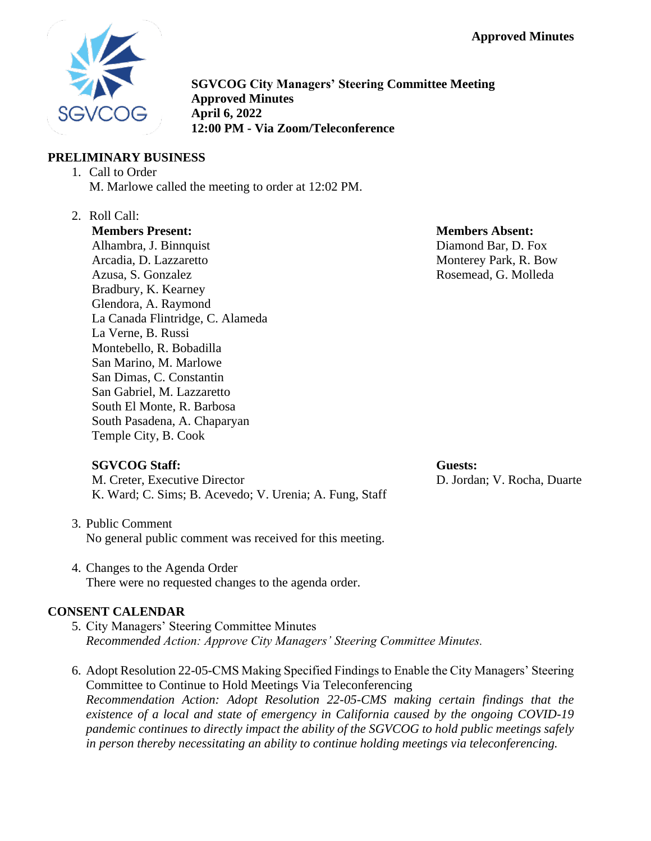

**SGVCOG City Managers' Steering Committee Meeting Approved Minutes April 6, 2022 12:00 PM - Via Zoom/Teleconference**

# **PRELIMINARY BUSINESS**

- 1. Call to Order M. Marlowe called the meeting to order at 12:02 PM.
- 2. Roll Call:

**Members Present:** Alhambra, J. Binnquist Arcadia, D. Lazzaretto Azusa, S. Gonzalez Bradbury, K. Kearney Glendora, A. Raymond La Canada Flintridge, C. Alameda La Verne, B. Russi Montebello, R. Bobadilla San Marino, M. Marlowe San Dimas, C. Constantin San Gabriel, M. Lazzaretto South El Monte, R. Barbosa South Pasadena, A. Chaparyan Temple City, B. Cook

# **SGVCOG Staff:**

M. Creter, Executive Director K. Ward; C. Sims; B. Acevedo; V. Urenia; A. Fung, Staff **Members Absent:** Diamond Bar, D. Fox Monterey Park, R. Bow Rosemead, G. Molleda

# **Guests:**

D. Jordan; V. Rocha, Duarte

- 3. Public Comment No general public comment was received for this meeting.
- 4. Changes to the Agenda Order There were no requested changes to the agenda order.

# **CONSENT CALENDAR**

- 5. City Managers' Steering Committee Minutes *Recommended Action: Approve City Managers' Steering Committee Minutes.*
- 6. Adopt Resolution 22-05-CMS Making Specified Findings to Enable the City Managers' Steering Committee to Continue to Hold Meetings Via Teleconferencing *Recommendation Action: Adopt Resolution 22-05-CMS making certain findings that the existence of a local and state of emergency in California caused by the ongoing COVID-19 pandemic continues to directly impact the ability of the SGVCOG to hold public meetings safely in person thereby necessitating an ability to continue holding meetings via teleconferencing.*